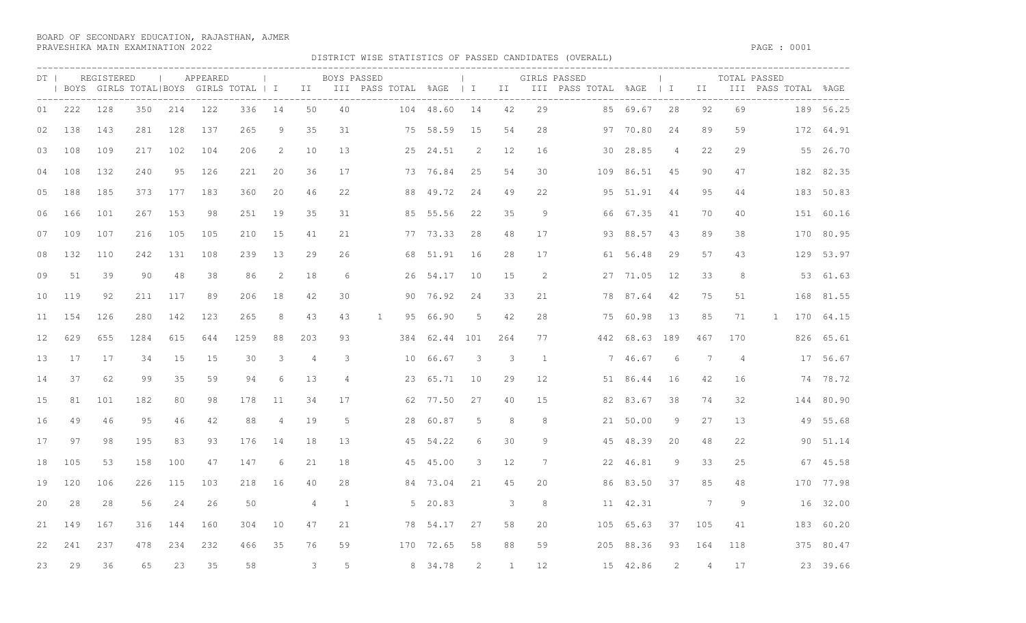BOARD OF SECONDARY EDUCATION, RAJASTHAN, AJMER PRAVESHIKA MAIN EXAMINATION 2022 **PAGE : 0001** 

DISTRICT WISE STATISTICS OF PASSED CANDIDATES (OVERALL)

|    | $DT$ | REGISTERED |      | <b>Contract Contract</b> | APPEARED |      | <b>Contract Contract</b> |                | BOYS PASSED    |   |     |           | $\sim$ 1.000 $\sim$ |     |              | GIRLS PASSED<br>  BOYS GIRLS TOTAL BOYS GIRLS TOTAL   I III III PASS TOTAL %AGE   I III III PASS TOTAL %AGE   I III III PASS TOTAL %AGE |               | and the state |     |                | TOTAL PASSED |           |
|----|------|------------|------|--------------------------|----------|------|--------------------------|----------------|----------------|---|-----|-----------|---------------------|-----|--------------|-----------------------------------------------------------------------------------------------------------------------------------------|---------------|---------------|-----|----------------|--------------|-----------|
| 01 | 222  | 128        | 350  | 214                      | 122      | 336  | 14                       | 50             | 40             |   |     | 104 48.60 | 14                  | 42  | 29           |                                                                                                                                         | 85 69.67      | 28            | 92  | 69             |              | 189 56.25 |
| 02 | 138  | 143        | 281  | 128                      | 137      | 265  | 9                        | 35             | 31             |   |     | 75 58.59  | 15                  | 54  | 28           |                                                                                                                                         | 97 70.80      | 24            | 89  | 59             |              | 172 64.91 |
| 03 | 108  | 109        | 217  | 102                      | 104      | 206  | 2                        | 10             | 13             |   |     | 25 24.51  | 2                   | 12  | 16           |                                                                                                                                         | 30 28.85      | 4             | 22  | 29             |              | 55 26.70  |
| 04 | 108  | 132        | 240  | 95                       | 126      | 221  | 20                       | 36             | 17             |   |     | 73 76.84  | 25                  | 54  | 30           |                                                                                                                                         | 109 86.51     | 45            | 90  | 47             |              | 182 82.35 |
| 05 | 188  | 185        | 373  | 177                      | 183      | 360  | 20                       | 46             | 22             |   |     | 88 49.72  | 24                  | 49  | 22           |                                                                                                                                         | 95 51.91      | 44            | 95  | 44             |              | 183 50.83 |
| 06 | 166  | 101        | 267  | 153                      | 98       | 251  | 19                       | 35             | 31             |   |     | 85 55.56  | 22                  | 35  | 9            |                                                                                                                                         | 66 67.35      | 41            | 70  | 40             |              | 151 60.16 |
| 07 | 109  | 107        | 216  | 105                      | 105      | 210  | 15                       | 41             | 21             |   |     | 77 73.33  | 28                  | 48  | 17           |                                                                                                                                         | 93 88.57      | 43            | 89  | 38             |              | 170 80.95 |
| 08 | 132  | 110        | 242  | 131                      | 108      | 239  | 13                       | 29             | 26             |   |     | 68 51.91  | 16                  | 28  | 17           |                                                                                                                                         | 61 56.48      | 29            | 57  | 43             |              | 129 53.97 |
| 09 | 51   | 39         | 90   | 48                       | 38       | 86   | 2                        | 18             | -6             |   |     | 26 54.17  | 10                  | 15  | 2            |                                                                                                                                         | 27 71.05      | 12            | 33  | 8              |              | 53 61.63  |
| 10 | 119  | 92         | 211  | 117                      | 89       | 206  | 18                       | 42             | 30             |   | 90  | 76.92     | 24                  | 33  | 21           | 78                                                                                                                                      | 87.64         | 42            | 75  | 51             | 168          | 81.55     |
| 11 | 154  | 126        | 280  | 142                      | 123      | 265  | 8                        | 43             | 43             | 1 | 95  | 66.90     | 5                   | 42  | 28           |                                                                                                                                         | 75 60.98      | 13            | 85  | 71             | 1            | 170 64.15 |
| 12 | 629  | 655        | 1284 | 615                      | 644      | 1259 | 88                       | 203            | 93             |   | 384 | 62.44     | 101                 | 264 | 77           |                                                                                                                                         | 442 68.63 189 |               | 467 | 170            |              | 826 65.61 |
| 13 | 17   | 17         | 34   | 15                       | 15       | 30   | 3                        | $\overline{4}$ | 3              |   |     | 10 66.67  | 3                   | 3   | <sup>1</sup> |                                                                                                                                         | 7 46.67       | 6             | 7   | $\overline{4}$ |              | 17 56.67  |
| 14 | 37   | 62         | 99   | 35                       | 59       | 94   | 6                        | 13             | $\overline{4}$ |   |     | 23 65.71  | 10                  | 29  | 12           |                                                                                                                                         | 51 86.44      | 16            | 42  | 16             |              | 74 78.72  |
| 15 | 81   | 101        | 182  | 80                       | 98       | 178  | 11                       | 34             | 17             |   |     | 62 77.50  | 27                  | 40  | 15           |                                                                                                                                         | 82 83.67      | 38            | 74  | 32             |              | 144 80.90 |
| 16 | 49   | 46         | 95   | 46                       | 42       | 88   | 4                        | 19             | 5              |   | 28  | 60.87     | 5                   | 8   | 8            |                                                                                                                                         | 21 50.00      | 9             | 27  | 13             |              | 49 55.68  |
| 17 | 97   | 98         | 195  | 83                       | 93       | 176  | 14                       | 18             | 13             |   |     | 45 54.22  | 6                   | 30  | 9            |                                                                                                                                         | 45 48.39      | 20            | 48  | 22             |              | 90 51.14  |
| 18 | 105  | 53         | 158  | 100                      | 47       | 147  | 6                        | 21             | 18             |   |     | 45 45.00  | 3                   | 12  | 7            |                                                                                                                                         | 22 46.81      | 9             | 33  | 25             |              | 67 45.58  |
| 19 | 120  | 106        | 226  | 115                      | 103      | 218  | 16                       | 40             | 28             |   | 84  | 73.04     | 21                  | 45  | 20           | 86                                                                                                                                      | 83.50         | 37            | 85  | 48             | 170          | 77.98     |
| 20 | 28   | 28         | 56   | 24                       | 26       | 50   |                          | 4              | -1             |   |     | 5 20.83   |                     | 3   | 8            |                                                                                                                                         | 11 42.31      |               | 7   | 9              |              | 16 32.00  |
| 21 | 149  | 167        | 316  | 144                      | 160      | 304  | 10                       | 47             | 21             |   | 78  | 54.17     | 27                  | 58  | 20           | 105                                                                                                                                     | 65.63         | 37            | 105 | 41             | 183          | 60.20     |
| 22 | 241  | 237        | 478  | 234                      | 232      | 466  | 35                       | 76             | 59             |   |     | 170 72.65 | 58                  | 88  | 59           |                                                                                                                                         | 205 88.36     | 93            | 164 | 118            |              | 375 80.47 |
| 23 | 2.9  | 36         | 65   | 23                       | 35       | 58   |                          |                |                |   |     | 34.78     | 2                   |     | 12           |                                                                                                                                         | 15 42.86      | $\mathcal{D}$ | 4   | 17             |              | 23 39.66  |